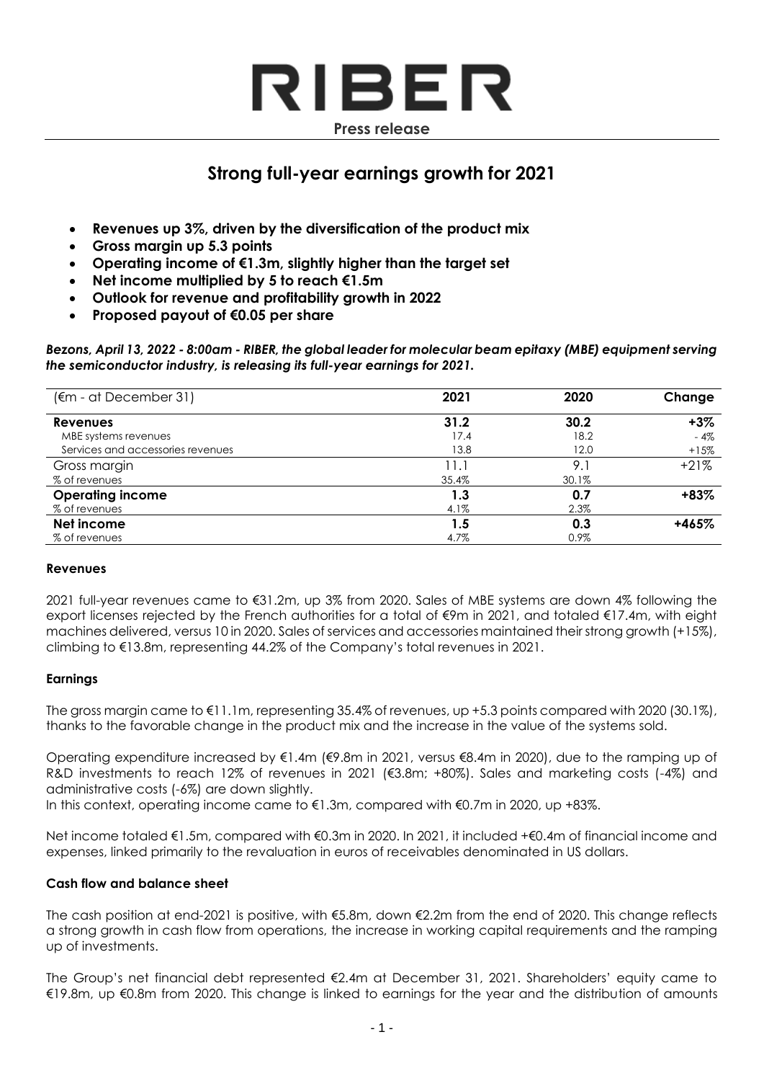

# **Strong full-year earnings growth for 2021**

- **Revenues up 3%, driven by the diversification of the product mix**
- **Gross margin up 5.3 points**
- **Operating income of €1.3m, slightly higher than the target set**
- **Net income multiplied by 5 to reach €1.5m**
- **Outlook for revenue and profitability growth in 2022**
- **Proposed payout of €0.05 per share**

*Bezons, April 13, 2022 - 8:00am - RIBER, the global leader for molecular beam epitaxy (MBE) equipment serving the semiconductor industry, is releasing its full-year earnings for 2021.*

| (€m - at December 31)             | 2021  | 2020  | Change |
|-----------------------------------|-------|-------|--------|
| <b>Revenues</b>                   | 31.2  | 30.2  | $+3%$  |
| MBE systems revenues              | 17.4  | 18.2  | $-4%$  |
| Services and accessories revenues | 13.8  | 12.0  | $+15%$ |
| Gross margin                      | 11.1  | 9.1   | $+21%$ |
| % of revenues                     | 35.4% | 30.1% |        |
| <b>Operating income</b>           | 1.3   | 0.7   | $+83%$ |
| % of revenues                     | 4.1%  | 2.3%  |        |
| Net income                        | 1.5   | 0.3   | +465%  |
| % of revenues                     | 4.7%  | 0.9%  |        |

## **Revenues**

2021 full-year revenues came to €31.2m, up 3% from 2020. Sales of MBE systems are down 4% following the export licenses rejected by the French authorities for a total of €9m in 2021, and totaled €17.4m, with eight machines delivered, versus 10 in 2020. Sales of services and accessories maintained their strong growth (+15%), climbing to €13.8m, representing 44.2% of the Company's total revenues in 2021.

## **Earnings**

The gross margin came to €11.1m, representing 35.4% of revenues, up +5.3 points compared with 2020 (30.1%), thanks to the favorable change in the product mix and the increase in the value of the systems sold.

Operating expenditure increased by €1.4m (€9.8m in 2021, versus €8.4m in 2020), due to the ramping up of R&D investments to reach 12% of revenues in 2021 (€3.8m; +80%). Sales and marketing costs (-4%) and administrative costs (-6%) are down slightly.

In this context, operating income came to €1.3m, compared with €0.7m in 2020, up +83%.

Net income totaled €1.5m, compared with €0.3m in 2020. In 2021, it included +€0.4m of financial income and expenses, linked primarily to the revaluation in euros of receivables denominated in US dollars.

## **Cash flow and balance sheet**

The cash position at end-2021 is positive, with €5.8m, down €2.2m from the end of 2020. This change reflects a strong growth in cash flow from operations, the increase in working capital requirements and the ramping up of investments.

The Group's net financial debt represented €2.4m at December 31, 2021. Shareholders' equity came to €19.8m, up €0.8m from 2020. This change is linked to earnings for the year and the distribution of amounts